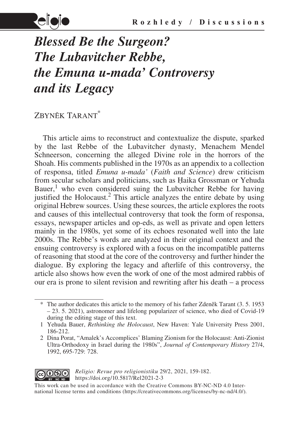

# *Blessed Be the Surgeon? The Lubavitcher Rebbe, the Emuna u-mada' Controversy and its Legacy*

## Zbyněk Tarant\*

This article aims to reconstruct and contextualize the dispute, sparked by the last Rebbe of the Lubavitcher dynasty, Menachem Mendel Schneerson, concerning the alleged Divine role in the horrors of the Shoah. His comments published in the 1970s as an appendix to a collection of responsa, titled *Emuna u-mada'* (*Faith and Science*) drew criticism from secular scholars and politicians, such as Ḥaika Grossman or Yehuda Bauer,<sup>1</sup> who even considered suing the Lubavitcher Rebbe for having justified the Holocaust.<sup>2</sup> This article analyzes the entire debate by using original Hebrew sources. Using these sources, the article explores the roots and causes of this intellectual controversy that took the form of responsa, essays, newspaper articles and op-eds, as well as private and open letters mainly in the 1980s, yet some of its echoes resonated well into the late 2000s. The Rebbe's words are analyzed in their original context and the ensuing controversy is explored with a focus on the incompatible patterns of reasoning that stood at the core of the controversy and further hinder the dialogue. By exploring the legacy and afterlife of this controversy, the article also shows how even the work of one of the most admired rabbis of our era is prone to silent revision and rewriting after his death – a process

<sup>2</sup> Dina Porat, "Amalek's Accomplices' Blaming Zionism for the Holocaust: Anti-Zionist Ultra-Orthodoxy in Israel during the 1980s", *Journal of Contemporary History* 27/4, 1992, 695-729: 728.



*Religio: Revue pro religionistiku* 29/2, 2021, 159-182. https://doi.org/10.5817/Rel2021-2-3

This work can be used in accordance with the Creative Commons BY-NC-ND 4.0 International license terms and conditions (https://creativecommons.org/licenses/by-nc-nd/4.0/).

<sup>\*</sup> The author dedicates this article to the memory of his father Zdeněk Tarant (3. 5. 1953 – 23. 5. 2021), astronomer and lifelong popularizer of science, who died of Covid-19 during the editing stage of this text.

<sup>1</sup> Yehuda Bauer, *Rethinking the Holocaust*, New Haven: Yale University Press 2001, 186-212.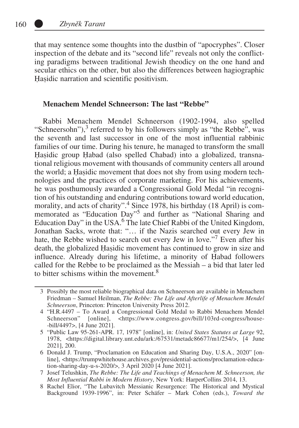that may sentence some thoughts into the dustbin of "apocryphes". Closer inspection of the debate and its "second life" reveals not only the conflicting paradigms between traditional Jewish theodicy on the one hand and secular ethics on the other, but also the differences between hagiographic Hasidic narration and scientific positivism.

#### **Menachem Mendel Schneerson: The last "Rebbe"**

Rabbi Menachem Mendel Schneerson (1902-1994, also spelled "Schneersohn"), $3$  referred to by his followers simply as "the Rebbe", was the seventh and last successor in one of the most influential rabbinic families of our time. During his tenure, he managed to transform the small Hasidic group Habad (also spelled Chabad) into a globalized, transnational religious movement with thousands of community centers all around the world; a Ḥaṣidic movement that does not shy from using modern technologies and the practices of corporate marketing. For his achievements, he was posthumously awarded a Congressional Gold Medal "in recognition of his outstanding and enduring contributions toward world education, morality, and acts of charity".<sup>4</sup> Since 1978, his birthday (18 April) is commemorated as "Education Day"<sup>5</sup> and further as "National Sharing and Education Day" in the USA.<sup>6</sup> The late Chief Rabbi of the United Kingdom, Jonathan Sacks, wrote that: "… if the Nazis searched out every Jew in hate, the Rebbe wished to search out every Jew in love."<sup>7</sup> Even after his death, the globalized Ḥaṣidic movement has continued to grow in size and influence. Already during his lifetime, a minority of Ḥabad followers called for the Rebbe to be proclaimed as the Messiah – a bid that later led to bitter schisms within the movement.<sup>8</sup>

<sup>3</sup> Possibly the most reliable biographical data on Schneerson are available in Menachem Friedman – Samuel Heilman, *The Rebbe: The Life and Afterlife of Menachem Mendel Schneerson*, Princeton: Princeton University Press 2012.

<sup>4</sup> "H.R.4497 – To Award a Congressional Gold Medal to Rabbi Menachem Mendel Schneerson" [online], <https://www.congress.gov/bill/103rd-congress/house--bill/4497>, [4 June 2021].

<sup>5</sup> "Public Law 95-261-APR. 17, 1978" [online], in: *United States Statutes at Large* 92, 1978, <https://digital.library.unt.edu/ark:/67531/metadc86677/m1/254/>, [4 June 2021], 200.

<sup>6</sup> Donald J. Trump, "Proclamation on Education and Sharing Day, U.S.A., 2020" [online], <https://trumpwhitehouse.archives.gov/presidential-actions/proclamation-education-sharing-day-u-s-2020/>, 3 April 2020 [4 June 2021].

<sup>7</sup> Josef Telushkin, *The Rebbe: The Life and Teachings of Menachem M. Schneerson, the Most Influential Rabbi in Modern History*, New York: HarperCollins 2014, 13.

<sup>8</sup> Rachel Elior, "The Lubavitch Messianic Resurgence: The Historical and Mystical Background 1939-1996", in: Peter Schäfer – Mark Cohen (eds.), *Toward the*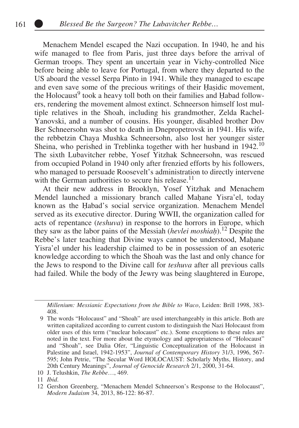Menachem Mendel escaped the Nazi occupation. In 1940, he and his wife managed to flee from Paris, just three days before the arrival of German troops. They spent an uncertain year in Vichy-controlled Nice before being able to leave for Portugal, from where they departed to the US aboard the vessel Serpa Pinto in 1941. While they managed to escape and even save some of the precious writings of their Ḥaṣidic movement, the Holocaust<sup>9</sup> took a heavy toll both on their families and Ḥabad followers, rendering the movement almost extinct. Schneerson himself lost multiple relatives in the Shoah, including his grandmother, Zelda Rachel-Yanovski, and a number of cousins. His younger, disabled brother Dov Ber Schneersohn was shot to death in Dnepropetrovsk in 1941. His wife, the rebbetzin Chaya Mushka Schneersohn, also lost her younger sister Sheina, who perished in Treblinka together with her husband in 1942.<sup>10</sup> The sixth Lubavitcher rebbe, Yosef Yitzhak Schneersohn, was rescued from occupied Poland in 1940 only after frenzied efforts by his followers, who managed to persuade Roosevelt's administration to directly intervene with the German authorities to secure his release.<sup>11</sup>

At their new address in Brooklyn, Yosef Yitzhak and Menachem Mendel launched a missionary branch called Mahane Yisra'el, today known as the Ḥabad's social service organization. Menachem Mendel served as its executive director. During WWII, the organization called for acts of repentance (*teshuva*) in response to the horrors in Europe, which they saw as the labor pains of the Messiah (*hevlei moshiaḥ*).12 Despite the Rebbe's later teaching that Divine ways cannot be understood, Mahane Yisra'el under his leadership claimed to be in possession of an esoteric knowledge according to which the Shoah was the last and only chance for the Jews to respond to the Divine call for *teshuva* after all previous calls had failed. While the body of the Jewry was being slaughtered in Europe,

10 J. Telushkin, *The Rebbe*…, 469.

*Millenium: Messianic Expectations from the Bible to Waco*, Leiden: Brill 1998, 383- 408.

<sup>9</sup> The words "Holocaust" and "Shoah" are used interchangeably in this article. Both are written capitalized according to current custom to distinguish the Nazi Holocaust from older uses of this term ("nuclear holocaust" etc.). Some exceptions to these rules are noted in the text. For more about the etymology and appropriateness of "Holocaust" and "Shoah", see Dalia Ofer, "Linguistic Conceptualization of the Holocaust in Palestine and Israel, 1942-1953", *Journal of Contemporary History* 31/3, 1996, 567- 595; John Petrie, "The Secular Word HOLOCAUST: Scholarly Myths, History, and 20th Century Meanings", *Journal of Genocide Research* 2/1, 2000, 31-64.

<sup>11</sup> *Ibid*.

<sup>12</sup> Gershon Greenberg, "Menachem Mendel Schneerson's Response to the Holocaust", *Modern Judaism* 34, 2013, 86-122: 86-87.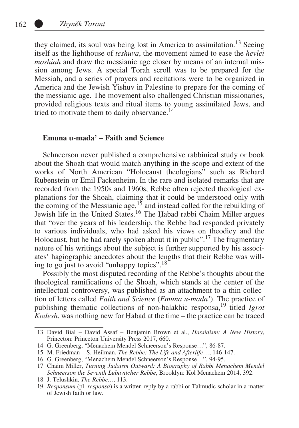they claimed, its soul was being lost in America to assimilation.<sup>13</sup> Seeing itself as the lighthouse of *teshuva*, the movement aimed to ease the *hevlei moshiah* and draw the messianic age closer by means of an internal mission among Jews. A special Torah scroll was to be prepared for the Messiah, and a series of prayers and recitations were to be organized in America and the Jewish Yishuv in Palestine to prepare for the coming of the messianic age. The movement also challenged Christian missionaries, provided religious texts and ritual items to young assimilated Jews, and tried to motivate them to daily observance.<sup>14</sup>

#### **Emuna u-mada' – Faith and Science**

Schneerson never published a comprehensive rabbinical study or book about the Shoah that would match anything in the scope and extent of the works of North American "Holocaust theologians" such as Richard Rubenstein or Emil Fackenheim. In the rare and isolated remarks that are recorded from the 1950s and 1960s, Rebbe often rejected theological explanations for the Shoah, claiming that it could be understood only with the coming of the Messianic age,  $15$  and instead called for the rebuilding of Jewish life in the United States.<sup>16</sup> The Habad rabbi Chaim Miller argues that "over the years of his leadership, the Rebbe had responded privately to various individuals, who had asked his views on theodicy and the Holocaust, but he had rarely spoken about it in public".<sup>17</sup> The fragmentary nature of his writings about the subject is further supported by his associates' hagiographic anecdotes about the lengths that their Rebbe was willing to go just to avoid "unhappy topics".18

Possibly the most disputed recording of the Rebbe's thoughts about the theological ramifications of the Shoah, which stands at the center of the intellectual controversy, was published as an attachment to a thin collection of letters called *Faith and Science* (*Emuna u-mada'*). The practice of publishing thematic collections of non-halakhic responsa,<sup>19</sup> titled *Igrot Kodesh*, was nothing new for Ḥabad at the time – the practice can be traced

<sup>13</sup> David Bial – David Assaf – Benjamin Brown et al., *Hassidism: A New History*, Princeton: Princeton University Press 2017, 660.

<sup>14</sup> G. Greenberg, "Menachem Mendel Schneerson's Response…", 86-87.

<sup>15</sup> M. Friedman – S. Heilman, *The Rebbe: The Life and Afterlife*…, 146-147.

<sup>16</sup> G. Greenberg, "Menachem Mendel Schneerson's Response…", 94-95.

<sup>17</sup> Chaim Miller, *Turning Judaism Outward: A Biography of Rabbi Menachem Mendel Schneerson the Seventh Lubavitcher Rebbe*, Brooklyn: Kol Menachem 2014, 392.

<sup>18</sup> J. Telushkin, *The Rebbe…*, 113.

<sup>19</sup> *Responsum* (pl. *responsa*) is a written reply by a rabbi or Talmudic scholar in a matter of Jewish faith or law.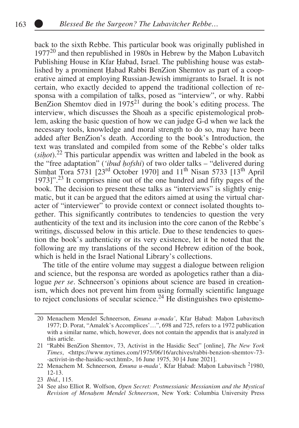back to the sixth Rebbe. This particular book was originally published in  $1977^{20}$  and then republished in 1980s in Hebrew by the Mahon Lubavitch Publishing House in Kfar Ḥabad, Israel. The publishing house was established by a prominent Ḥabad Rabbi BenZion Shemtov as part of a cooperative aimed at employing Russian-Jewish immigrants to Israel. It is not certain, who exactly decided to append the traditional collection of responsa with a compilation of talks, posed as "interview", or why. Rabbi BenZion Shemtov died in  $1975<sup>21</sup>$  during the book's editing process. The interview, which discusses the Shoah as a specific epistemological problem, asking the basic question of how we can judge G-d when we lack the necessary tools, knowledge and moral strength to do so, may have been added after BenZion's death. According to the book's Introduction, the text was translated and compiled from some of the Rebbe's older talks (*siḥot*).22 This particular appendix was written and labeled in the book as the "free adaptation" (*'ibud ḥofshi*) of two older talks – "delivered during Simhat Tora 5731 [ $23<sup>rd</sup>$  October 1970] and  $11<sup>th</sup>$  Nisan 5733 [ $13<sup>th</sup>$  April 1973]".23 It comprises nine out of the one hundred and fifty pages of the book. The decision to present these talks as "interviews" is slightly enigmatic, but it can be argued that the editors aimed at using the virtual character of "interviewer" to provide context or connect isolated thoughts together. This significantly contributes to tendencies to question the very authenticity of the text and its inclusion into the core canon of the Rebbe's writings, discussed below in this article. Due to these tendencies to question the book's authenticity or its very existence, let it be noted that the following are my translations of the second Hebrew edition of the book, which is held in the Israel National Library's collections.

The title of the entire volume may suggest a dialogue between religion and science, but the responsa are worded as apologetics rather than a dialogue *per se*. Schneerson's opinions about science are based in creationism, which does not prevent him from using formally scientific language to reject conclusions of secular science.<sup>24</sup> He distinguishes two epistemo-

<sup>20</sup> Menachem Mendel Schneerson, *Emuna u-mada'*, Kfar Ḥabad: Maḥon Lubavitsch 1977; D. Porat, "Amalek's Accomplices'…", 698 and 725, refers to a 1972 publication with a similar name, which, however, does not contain the appendix that is analyzed in this article.

<sup>21</sup> "Rabbi BenZion Shemtov, 73, Activist in the Hasidic Sect" [online], *The New York Times*, <https://www.nytimes.com/1975/06/16/archives/rabbi-benzion-shemtov-73- -activist-in-the-hasidic-sect.html>, 16 June 1975, 30 [4 June 2021].

<sup>22</sup> Menachem M. Schneerson, *Emuna u-mada'*, Kfar Ḥabad: Maḥon Lubavitsch<sup>2</sup>1980, 12-13.

<sup>23</sup> *Ibid*., 115.

<sup>24</sup> See also Elliot R. Wolfson, *Open Secret: Postmessianic Messianism and the Mystical Revision of Menaḥem Mendel Schneerson*, New York: Columbia University Press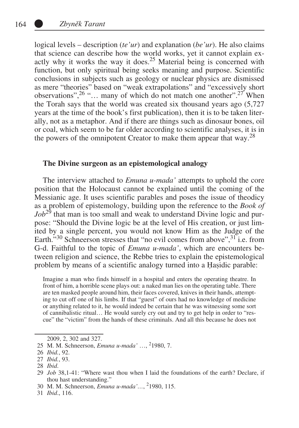logical levels – description (*te'ur*) and explanation (*be'ur*). He also claims that science can describe how the world works, yet it cannot explain exactly why it works the way it does.<sup>25</sup> Material being is concerned with function, but only spiritual being seeks meaning and purpose. Scientific conclusions in subjects such as geology or nuclear physics are dismissed as mere "theories" based on "weak extrapolations" and "excessively short observations",  $26$  "... many of which do not match one another".  $27$  When the Torah says that the world was created six thousand years ago (5,727 years at the time of the book's first publication), then it is to be taken literally, not as a metaphor. And if there are things such as dinosaur bones, oil or coal, which seem to be far older according to scientific analyses, it is in the powers of the omnipotent Creator to make them appear that way.<sup>28</sup>

#### **The Divine surgeon as an epistemological analogy**

The interview attached to *Emuna u-mada'* attempts to uphold the core position that the Holocaust cannot be explained until the coming of the Messianic age. It uses scientific parables and poses the issue of theodicy as a problem of epistemology, building upon the reference to the *Book of*   $Job^{29}$  that man is too small and weak to understand Divine logic and purpose: "Should the Divine logic be at the level of His creation, or just limited by a single percent, you would not know Him as the Judge of the Earth.<sup>330</sup> Schneerson stresses that "no evil comes from above",  $3\overline{1}$  i.e. from G-d. Faithful to the topic of *Emuna u-mada'*, which are encounters between religion and science, the Rebbe tries to explain the epistemological problem by means of a scientific analogy turned into a Ḥaṣidic parable:

Imagine a man who finds himself in a hospital and enters the operating theatre. In front of him, a horrible scene plays out: a naked man lies on the operating table. There are ten masked people around him, their faces covered, knives in their hands, attempting to cut off one of his limbs. If that "guest" of ours had no knowledge of medicine or anything related to it, he would indeed be certain that he was witnessing some sort of cannibalistic ritual… He would surely cry out and try to get help in order to "rescue" the "victim" from the hands of these criminals. And all this because he does not

2009, 2, 302 and 327.

31 *Ibid*., 116.

<sup>25</sup> M. M. Schneerson, *Emuna u-mada'* …, <sup>2</sup> 1980, 7.

<sup>26</sup> *Ibid.*, 92.

<sup>27</sup> *Ibid.*, 93.

<sup>28</sup> *Ibid*.

<sup>29</sup> *Job* 38,1-41: "Where wast thou when I laid the foundations of the earth? Declare, if thou hast understanding."

<sup>30</sup> M. M. Schneerson, *Emuna u-mada'...*, <sup>2</sup>1980, 115.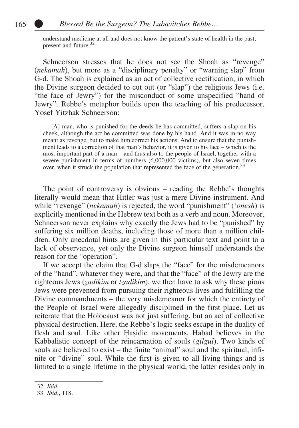understand medicine at all and does not know the patient's state of health in the past, present and future.<sup>32</sup>

Schneerson stresses that he does not see the Shoah as "revenge" (*nekamah*), but more as a "disciplinary penalty" or "warning slap" from G-d. The Shoah is explained as an act of collective rectification, in which the Divine surgeon decided to cut out (or "slap") the religious Jews (i.e. "the face of Jewry") for the misconduct of some unspecified "hand of Jewry". Rebbe's metaphor builds upon the teaching of his predecessor, Yosef Yitzhak Schneerson:

… [A] man, who is punished for the deeds he has committed, suffers a slap on his cheek, although the act he committed was done by his hand. And it was in no way meant as revenge, but to make him correct his actions. And to ensure that the punishment leads to a correction of that man's behavior, it is given to his face – which is the most important part of a man – and thus also to the people of Israel, together with a severe punishment in terms of numbers (6,000,000 victims), but also seven times over, when it struck the population that represented the face of the generation.<sup>33</sup>

The point of controversy is obvious – reading the Rebbe's thoughts literally would mean that Hitler was just a mere Divine instrument. And while "revenge" (*nekamah*) is rejected, the word "punishment" (*'onesh*) is explicitly mentioned in the Hebrew text both as a verb and noun. Moreover, Schneerson never explains why exactly the Jews had to be "punished" by suffering six million deaths, including those of more than a million children. Only anecdotal hints are given in this particular text and point to a lack of observance, yet only the Divine surgeon himself understands the reason for the "operation".

If we accept the claim that G-d slaps the "face" for the misdemeanors of the "hand", whatever they were, and that the "face" of the Jewry are the righteous Jews (*ẓadikim* or *tzadikim*), we then have to ask why these pious Jews were prevented from pursuing their righteous lives and fulfilling the Divine commandments – the very misdemeanor for which the entirety of the People of Israel were allegedly disciplined in the first place. Let us reiterate that the Holocaust was not just suffering, but an act of collective physical destruction. Here, the Rebbe's logic seeks escape in the duality of flesh and soul. Like other Ḥaṣidic movements, Ḥabad believes in the Kabbalistic concept of the reincarnation of souls (*gilgul*). Two kinds of souls are believed to exist – the finite "animal" soul and the spiritual, infinite or "divine" soul. While the first is given to all living things and is limited to a single lifetime in the physical world, the latter resides only in

<sup>32</sup> *Ibid*.

<sup>33</sup> *Ibid*., 118.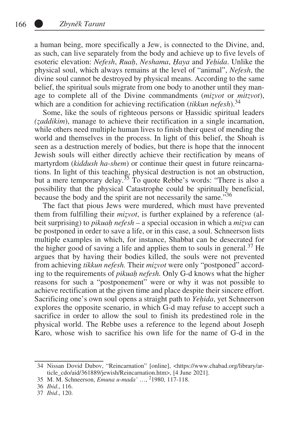a human being, more specifically a Jew, is connected to the Divine, and, as such, can live separately from the body and achieve up to five levels of esoteric elevation: *Nefesh*, *Ruaḥ*, *Neshama*, *Ḥaya* and *Yeḥida*. Unlike the physical soul, which always remains at the level of "animal", *Nefesh*, the divine soul cannot be destroyed by physical means. According to the same belief, the spiritual souls migrate from one body to another until they manage to complete all of the Divine commandments (*miẓvot* or *mitzvot*), which are a condition for achieving rectification *(tikkun nefesh*).<sup>34</sup>

Some, like the souls of righteous persons or Ḥassidic spiritual leaders *(ẓaddikim*), manage to achieve their rectification in a single incarnation, while others need multiple human lives to finish their quest of mending the world and themselves in the process. In light of this belief, the Shoah is seen as a destruction merely of bodies, but there is hope that the innocent Jewish souls will either directly achieve their rectification by means of martyrdom (*kiddush ha-shem*) or continue their quest in future reincarnations. In light of this teaching, physical destruction is not an obstruction, but a mere temporary delay.<sup>35</sup> To quote Rebbe's words: "There is also a possibility that the physical Catastrophe could be spiritually beneficial, because the body and the spirit are not necessarily the same."36

The fact that pious Jews were murdered, which must have prevented them from fulfilling their *miẓvot*, is further explained by a reference (albeit surprising) to *pikuaḥ nefesh* – a special occasion in which a *miẓva* can be postponed in order to save a life, or in this case, a soul. Schneerson lists multiple examples in which, for instance, Shabbat can be desecrated for the higher good of saving a life and applies them to souls in general.<sup>37</sup> He argues that by having their bodies killed, the souls were not prevented from achieving *tikkun nefesh.* Their *miẓvot* were only "postponed" according to the requirements of *pikuaḥ nefesh.* Only G-d knows what the higher reasons for such a "postponement" were or why it was not possible to achieve rectification at the given time and place despite their sincere effort. Sacrificing one's own soul opens a straight path to *Yeḥida*, yet Schneerson explores the opposite scenario, in which G-d may refuse to accept such a sacrifice in order to allow the soul to finish its predestined role in the physical world. The Rebbe uses a reference to the legend about Joseph Karo, whose wish to sacrifice his own life for the name of G-d in the

<sup>34</sup> Nissan Dovid Dubov, "Reincarnation" [online], <https://www.chabad.org/library/article\_cdo/aid/361889/jewish/Reincarnation.htm>, [4 June 2021].

<sup>35</sup> M. M. Schneerson, *Emuna u-mada'* …, <sup>2</sup> 1980, 117-118.

<sup>36</sup> *Ibid*., 116.

<sup>37</sup> *Ibid*., 120.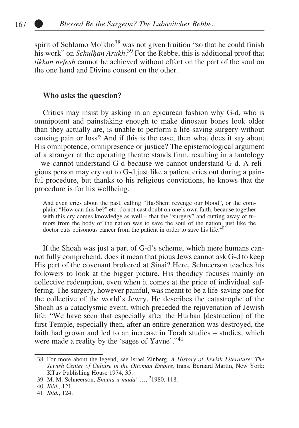spirit of Schlomo Molkho<sup>38</sup> was not given fruition "so that he could finish his work" on *Schulḥan Arukh*. 39 For the Rebbe, this is additional proof that *tikkun nefesh* cannot be achieved without effort on the part of the soul on the one hand and Divine consent on the other.

### **Who asks the question?**

Critics may insist by asking in an epicurean fashion why G-d, who is omnipotent and painstaking enough to make dinosaur bones look older than they actually are, is unable to perform a life-saving surgery without causing pain or loss? And if this is the case, then what does it say about His omnipotence, omnipresence or justice? The epistemological argument of a stranger at the operating theatre stands firm, resulting in a tautology – we cannot understand G-d because we cannot understand G-d. A religious person may cry out to G-d just like a patient cries out during a painful procedure, but thanks to his religious convictions, he knows that the procedure is for his wellbeing.

And even cries about the past, calling "Ha-Shem revenge our blood", or the complaint "How can this be?" etc. do not cast doubt on one's own faith, because together with this cry comes knowledge as well – that the "surgery" and cutting away of tumors from the body of the nation was to save the soul of the nation, just like the doctor cuts poisonous cancer from the patient in order to save his life.<sup>40</sup>

If the Shoah was just a part of G-d's scheme, which mere humans cannot fully comprehend, does it mean that pious Jews cannot ask G-d to keep His part of the covenant brokered at Sinai? Here, Schneerson teaches his followers to look at the bigger picture. His theodicy focuses mainly on collective redemption, even when it comes at the price of individual suffering. The surgery, however painful, was meant to be a life-saving one for the collective of the world's Jewry. He describes the catastrophe of the Shoah as a cataclysmic event, which preceded the rejuvenation of Jewish life: "We have seen that especially after the Ḥurban [destruction] of the first Temple, especially then, after an entire generation was destroyed, the faith had grown and led to an increase in Torah studies – studies, which were made a reality by the 'sages of Yavne'."<sup>41</sup>

<sup>38</sup> For more about the legend, see Israel Zinberg, *A History of Jewish Literature: The Jewish Center of Culture in the Ottoman Empire*, trans. Bernard Martin, New York: KTav Publishing House 1974, 35.

<sup>39</sup> M. M. Schneerson, *Emuna u-mada'* …, <sup>2</sup> 1980, 118.

<sup>40</sup> *Ibid.*, 121.

<sup>41</sup> *Ibid.*, 124.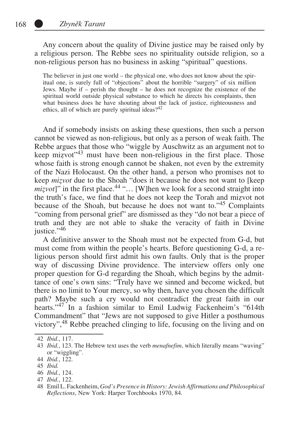Any concern about the quality of Divine justice may be raised only by a religious person. The Rebbe sees no spirituality outside religion, so a non-religious person has no business in asking "spiritual" questions.

The believer in just one world – the physical one, who does not know about the spiritual one, is surely full of "objections" about the horrible "surgery" of six million Jews. Maybe if – perish the thought – he does not recognize the existence of the spiritual world outside physical substance to which he directs his complaints, then what business does he have shouting about the lack of justice, righteousness and ethics, all of which are purely spiritual ideas? $42$ 

And if somebody insists on asking these questions, then such a person cannot be viewed as non-religious, but only as a person of weak faith. The Rebbe argues that those who "wiggle by Auschwitz as an argument not to keep mizvot<sup> $3$ </sup> must have been non-religious in the first place. Those whose faith is strong enough cannot be shaken, not even by the extremity of the Nazi Holocaust. On the other hand, a person who promises not to keep *miẓvot* due to the Shoah "does it because he does not want to [keep  $mizvot$ <sup>"</sup> in the first place.<sup>44</sup> "... [W]hen we look for a second straight into the truth's face, we find that he does not keep the Torah and miẓvot not because of the Shoah, but because he does not want to."45 Complaints "coming from personal grief" are dismissed as they "do not bear a piece of truth and they are not able to shake the veracity of faith in Divine justice."46

A definitive answer to the Shoah must not be expected from G-d, but must come from within the people's hearts. Before questioning G-d, a religious person should first admit his own faults. Only that is the proper way of discussing Divine providence. The interview offers only one proper question for G-d regarding the Shoah, which begins by the admittance of one's own sins: "Truly have we sinned and become wicked, but there is no limit to Your mercy, so why then, have you chosen the difficult path? Maybe such a cry would not contradict the great faith in our hearts."<sup>47</sup> In a fashion similar to Emil Ludwig Fackenheim's "614th Commandment" that "Jews are not supposed to give Hitler a posthumous victory",<sup>48</sup> Rebbe preached clinging to life, focusing on the living and on

<sup>42</sup> *Ibid*., 117.

<sup>43</sup> *Ibid.*, 123. The Hebrew text uses the verb *menafnefim*, which literally means "waving" or "wiggling".

<sup>44</sup> *Ibid.*, 122.

<sup>45</sup> *Ibid.*

<sup>46</sup> *Ibid.*, 124.

<sup>47</sup> *Ibid.*, 122.

<sup>48</sup> Emil L. Fackenheim, *God's Presence in History: Jewish Affirmations and Philosophical Reflections*, New York: Harper Torchbooks 1970, 84.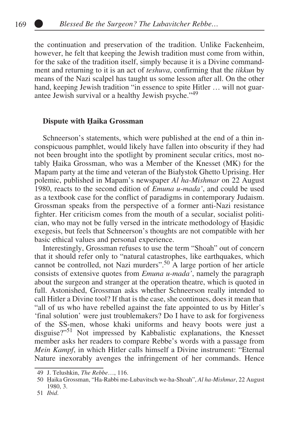the continuation and preservation of the tradition. Unlike Fackenheim, however, he felt that keeping the Jewish tradition must come from within, for the sake of the tradition itself, simply because it is a Divine commandment and returning to it is an act of *teshuva*, confirming that the *tikkun* by means of the Nazi scalpel has taught us some lesson after all. On the other hand, keeping Jewish tradition "in essence to spite Hitler ... will not guarantee Jewish survival or a healthy Jewish psyche."49

#### **Dispute with Ḥaika Grossman**

Schneerson's statements, which were published at the end of a thin inconspicuous pamphlet, would likely have fallen into obscurity if they had not been brought into the spotlight by prominent secular critics, most notably Ḥaika Grossman, who was a Member of the Knesset (MK) for the Mapam party at the time and veteran of the Białystok Ghetto Uprising. Her polemic, published in Mapam's newspaper *Al ha-Mishmar* on 22 August 1980, reacts to the second edition of *Emuna u-mada'*, and could be used as a textbook case for the conflict of paradigms in contemporary Judaism. Grossman speaks from the perspective of a former anti-Nazi resistance fighter. Her criticism comes from the mouth of a secular, socialist politician, who may not be fully versed in the intricate methodology of Ḥaṣidic exegesis, but feels that Schneerson's thoughts are not compatible with her basic ethical values and personal experience.

Interestingly, Grossman refuses to use the term "Shoah" out of concern that it should refer only to "natural catastrophes, like earthquakes, which cannot be controlled, not Nazi murders".<sup>50</sup> A large portion of her article consists of extensive quotes from *Emuna u-mada'*, namely the paragraph about the surgeon and stranger at the operation theatre, which is quoted in full. Astonished, Grossman asks whether Schneerson really intended to call Hitler a Divine tool? If that is the case, she continues, does it mean that "all of us who have rebelled against the fate appointed to us by Hitler's 'final solution' were just troublemakers? Do I have to ask for forgiveness of the SS-men, whose khaki uniforms and heavy boots were just a disguise?"51 Not impressed by Kabbalistic explanations, the Knesset member asks her readers to compare Rebbe's words with a passage from *Mein Kampf*, in which Hitler calls himself a Divine instrument: "Eternal Nature inexorably avenges the infringement of her commands. Hence

<sup>49</sup> J. Telushkin, *The Rebbe*…, 116.

<sup>50</sup> Ḥaika Grossman, "Ha-Rabbi me-Lubavitsch we-ha-Shoah", *Al ha-Mishmar*, 22 August 1980, 3.

<sup>51</sup> *Ibid*.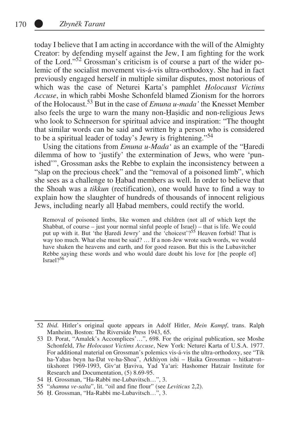today I believe that I am acting in accordance with the will of the Almighty Creator: by defending myself against the Jew, I am fighting for the work of the Lord."52 Grossman's criticism is of course a part of the wider polemic of the socialist movement vis-á-vis ultra-orthodoxy. She had in fact previously engaged herself in multiple similar disputes, most notorious of which was the case of Neturei Karta's pamphlet *Holocaust Victims Accuse*, in which rabbi Moshe Schonfeld blamed Zionism for the horrors of the Holocaust.53 But in the case of *Emuna u-mada'* the Knesset Member also feels the urge to warn the many non-Ḥaṣidic and non-religious Jews who look to Schneerson for spiritual advice and inspiration: "The thought that similar words can be said and written by a person who is considered to be a spiritual leader of today's Jewry is frightening."<sup>54</sup>

Using the citations from *Emuna u-Mada'* as an example of the "Ḥaredi dilemma of how to 'justify' the extermination of Jews, who were 'punished'", Grossman asks the Rebbe to explain the inconsistency between a "slap on the precious cheek" and the "removal of a poisoned limb", which she sees as a challenge to Ḥabad members as well. In order to believe that the Shoah was a *tikkun* (rectification), one would have to find a way to explain how the slaughter of hundreds of thousands of innocent religious Jews, including nearly all Ḥabad members, could rectify the world.

Removal of poisoned limbs, like women and children (not all of which kept the Shabbat, of course – just your normal sinful people of Israel) – that is life. We could put up with it. But 'the Ḥaredi Jewry' and the 'choicest'?<sup>55</sup> Heaven forbid! That is way too much. What else must be said? … If a non-Jew wrote such words, we would have shaken the heavens and earth, and for good reason. But this is the Lubavitcher Rebbe saying these words and who would dare doubt his love for [the people of] Israel $2^{56}$ 

<sup>52</sup> *Ibid*. Hitler's original quote appears in Adolf Hitler, *Mein Kampf*, trans. Ralph Manheim, Boston: The Riverside Press 1943, 65.

<sup>53</sup> D. Porat, "Amalek's Accomplices'…", 698. For the original publication, see Moshe Schonfeld, *The Holocaust Victims Accuse*, New York: Neturei Karta of U.S.A. 1977. For additional material on Grossman's polemics vis-á-vis the ultra-orthodoxy, see "Tik ha-Yaḥas beyn ha-Dat ve-ha-Shoa", Arkhiyon ishi – Ḥaika Grossman – hitkatvut– tikshoret 1969-1993, Giv'at Ḥaviva, Yad Ya'ari: Hashomer Hatzair Institute for Research and Documentation, (5) 8.69-95.

<sup>54</sup> Ḥ. Grossman, "Ha-Rabbi me-Lubavitsch…", 3.

<sup>55</sup> "*shamna ve-salta*", lit. "oil and fine flour" (see *Leviticus* 2,2).

<sup>56</sup> Ḥ. Grossman, "Ha-Rabbi me-Lubavitsch…", 3.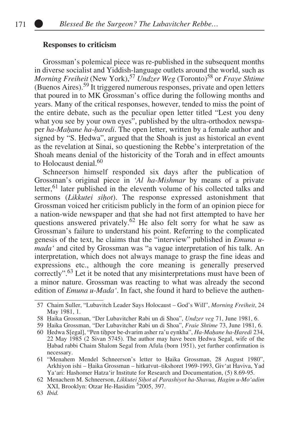## **Responses to criticism**

Grossman's polemical piece was re-published in the subsequent months in diverse socialist and Yiddish-language outlets around the world, such as *Morning Freiheit* (New York),<sup>57</sup> *Undzer Weg* (Toronto)<sup>58</sup> or *Fraye Shtime* (Buenos Aires).59 It triggered numerous responses, private and open letters that poured in to MK Grossman's office during the following months and years. Many of the critical responses, however, tended to miss the point of the entire debate, such as the peculiar open letter titled "Lest you deny what you see by your own eyes", published by the ultra-orthodox newspaper *ha-Maḥane ha-ḥaredi*. The open letter, written by a female author and signed by "S. Ḥedwa", argued that the Shoah is just as historical an event as the revelation at Sinai, so questioning the Rebbe's interpretation of the Shoah means denial of the historicity of the Torah and in effect amounts to Holocaust denial  $60$ 

Schneerson himself responded six days after the publication of Grossman's original piece in *'Al ha-Mishmar* by means of a private letter,<sup>61</sup> later published in the eleventh volume of his collected talks and sermons (*Likkutei sihot*). The response expressed astonishment that Grossman voiced her criticism publicly in the form of an opinion piece for a nation-wide newspaper and that she had not first attempted to have her questions answered privately.<sup>62</sup> He also felt sorry for what he saw as Grossman's failure to understand his point. Referring to the complicated genesis of the text, he claims that the "interview" published in *Emuna umada'* and cited by Grossman was "a vague interpretation of his talk. An interpretation, which does not always manage to grasp the fine ideas and expressions etc., although the core meaning is generally preserved correctly".63 Let it be noted that any misinterpretations must have been of a minor nature. Grossman was reacting to what was already the second edition of *Emuna u-Mada'*. In fact, she found it hard to believe the authen-

<sup>57</sup> Chaim Suller, "Lubavitch Leader Says Holocaust – God's Will", *Morning Freiheit*, 24 May 1981, 1.

<sup>58</sup> Ḥaika Grossman, "Der Lubavitcher Rabi un di Shoa", *Undzer veg* 71, June 1981, 6.

<sup>59</sup> Ḥaika Grossman, "Der Lubavitcher Rabi un di Shoa", *Fraie Shtime* 73, June 1981, 6.

<sup>60</sup> Ḥedwa S[egal], "Pen tiḥpor be-dvarim asher ra'u eynkha", *Ha-Maḥane ha-Ḥaredi* 234, 22 May 1985 (2 Sivan 5745). The author may have been Ḥedwa Segal, wife of the Ḥabad rabbi Chaim Shalom Segal from Afula (born 1951), yet further confirmation is necessary.

<sup>61</sup> "Menahem Mendel Schneerson's letter to Ḥaika Grossman, 28 August 1980", Arkhiyon ishi – Ḥaika Grossman – hitkatvut–tikshoret 1969-1993, Giv'at Haviva, Yad Ya'ari: Hashomer Hatza'ir Institute for Research and Documentation, (5) 8.69-95.

<sup>62</sup> Menachem M. Schneerson, *Likkutei Siḥot al Parashiyot ha-Shavua, Hagim u-Mo'adim*  XXI, Brooklyn: Otzar He-Hasidim<sup>5</sup>2005, 397.

<sup>63</sup> *Ibid.*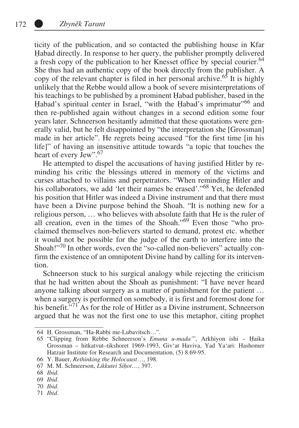ticity of the publication, and so contacted the publishing house in Kfar Ḥabad directly. In response to her query, the publisher promptly delivered a fresh copy of the publication to her Knesset office by special courier.<sup>64</sup> She thus had an authentic copy of the book directly from the publisher. A copy of the relevant chapter is filed in her personal archive.<sup>65</sup> It is highly unlikely that the Rebbe would allow a book of severe misinterpretations of his teachings to be published by a prominent Ḥabad publisher, based in the Habad's spiritual center in Israel, "with the Ḥabad's imprimatur"<sup>66</sup> and then re-published again without changes in a second edition some four years later. Schneerson hesitantly admitted that these quotations were generally valid, but he felt disappointed by "the interpretation she [Grossman] made in her article". He regrets being accused "for the first time [in his life]" of having an insensitive attitude towards "a topic that touches the heart of every Jew".<sup>67</sup>

He attempted to dispel the accusations of having justified Hitler by reminding his critic the blessings uttered in memory of the victims and curses attached to villains and perpetrators. "When reminding Hitler and his collaborators, we add 'let their names be erased', <sup>68</sup> Yet, he defended his position that Hitler was indeed a Divine instrument and that there must have been a Divine purpose behind the Shoah. "It is nothing new for a religious person, … who believes with absolute faith that He is the ruler of all creation, even in the times of the Shoah."69 Even those "who proclaimed themselves non-believers started to demand, protest etc. whether it would not be possible for the judge of the earth to interfere into the Shoah!"<sup>70</sup> In other words, even the "so-called non-believers" actually confirm the existence of an omnipotent Divine hand by calling for its intervention.

Schneerson stuck to his surgical analogy while rejecting the criticism that he had written about the Shoah as punishment: "I have never heard anyone talking about surgery as a matter of punishment for the patient … when a surgery is performed on somebody, it is first and foremost done for his benefit.<sup>"71'</sup> As for the role of Hitler as a Divine instrument, Schneerson argued that he was not the first one to use this metaphor, citing prophet

71 *Ibid*.

<sup>64</sup> Ḥ. Grossman, "Ha-Rabbi me-Lubavitsch…".

<sup>65</sup> "Clipping from Rebbe Schneerson's *Emuna u-mada'*", Arkhiyon ishi – Ḥaika Grossman – hitkatvut–tikshoret 1969-1993, Giv'at Haviva, Yad Ya'ari: Hashomer Hatzair Institute for Research and Documentation, (5) 8.69-95.

<sup>66</sup> Y. Bauer, *Rethinking the Holocaust*…, 198.

<sup>67</sup> M. M. Schneerson, *Likkutei Siḥot*…, 397.

<sup>68</sup> *Ibid*.

<sup>69</sup> *Ibid*.

<sup>70</sup> *Ibid*.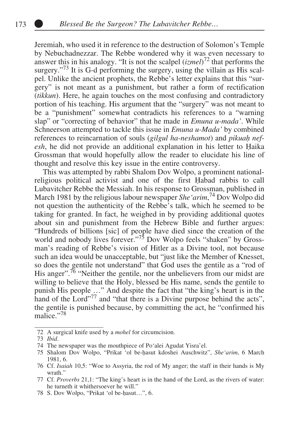Jeremiah, who used it in reference to the destruction of Solomon's Temple by Nebuchadnezzar. The Rebbe wondered why it was even necessary to answer this in his analogy. "It is not the scalpel (*izmel*) 72 that performs the surgery."<sup>73</sup> It is G-d performing the surgery, using the villain as His scalpel. Unlike the ancient prophets, the Rebbe's letter explains that this "surgery" is not meant as a punishment, but rather a form of rectification (*tikkun*). Here, he again touches on the most confusing and contradictory portion of his teaching. His argument that the "surgery" was not meant to be a "punishment" somewhat contradicts his references to a "warning slap" or "correcting of behavior" that he made in *Emuna u-mada'*. While Schneerson attempted to tackle this issue in *Emuna u-Mada'* by combined references to reincarnation of souls (*gilgul ha-neshamot*) and *pikuah nefesh*, he did not provide an additional explanation in his letter to Ḥaika Grossman that would hopefully allow the reader to elucidate his line of thought and resolve this key issue in the entire controversy.

This was attempted by rabbi Shalom Dov Wolpo, a prominent nationalreligious political activist and one of the first Ḥabad rabbis to call Lubavitcher Rebbe the Messiah. In his response to Grossman, published in March 1981 by the religious labour newspaper *She'arim*, 74 Dov Wolpo did not question the authenticity of the Rebbe's talk, which he seemed to be taking for granted. In fact, he weighed in by providing additional quotes about sin and punishment from the Hebrew Bible and further argues: "Hundreds of billions [sic] of people have died since the creation of the world and nobody lives forever."<sup>75</sup> Dov Wolpo feels "shaken" by Grossman's reading of Rebbe's vision of Hitler as a Divine tool, not because such an idea would be unacceptable, but "just like the Member of Knesset, so does the gentile not understand" that God uses the gentile as a "rod of His anger".<sup>76</sup> "Neither the gentile, nor the unbelievers from our midst are willing to believe that the Holy, blessed be His name, sends the gentile to punish His people …" And despite the fact that "the king's heart is in the hand of the Lord"<sup>77</sup> and "that there is a Divine purpose behind the acts", the gentile is punished because, by committing the act, he "confirmed his malice."78

<sup>72</sup> A surgical knife used by a *mohel* for circumcision.

<sup>73</sup> *Ibid*.

<sup>74</sup> The newspaper was the mouthpiece of Po'alei Agudat Yisra'el.

<sup>75</sup> Shalom Dov Wolpo, "Prikat 'ol be-ḥasut kdoshei Auschwitz", *She'arim*, 6 March 1981, 6.

<sup>76</sup> Cf. *Isaiah* 10,5: "Woe to Assyria, the rod of My anger; the staff in their hands is My wrath."

<sup>77</sup> Cf. *Proverbs* 21,1: "The king's heart is in the hand of the Lord, as the rivers of water: he turneth it whithersoever he will."

<sup>78</sup> S. Dov Wolpo, "Prikat 'ol be-ḥasut…", 6.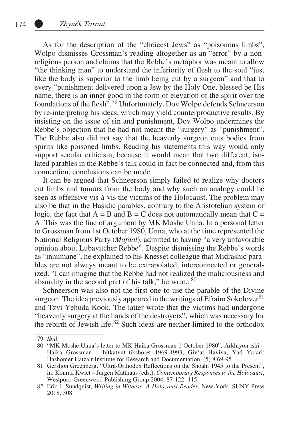As for the description of the "choicest Jews" as "poisonous limbs", Wolpo dismisses Grossman's reading altogether as an "error" by a nonreligious person and claims that the Rebbe's metaphor was meant to allow "the thinking man" to understand the inferiority of flesh to the soul "just like the body is superior to the limb being cut by a surgeon" and that to every "punishment delivered upon a Jew by the Holy One, blessed be His name, there is an inner good in the form of elevation of the spirit over the foundations of the flesh".79 Unfortunately, Dov Wolpo defends Schneerson by re-interpreting his ideas, which may yield counterproductive results. By insisting on the issue of sin and punishment, Dov Wolpo undermines the Rebbe's objection that he had not meant the "surgery" as "punishment". The Rebbe also did not say that the heavenly surgeon cuts bodies from spirits like poisoned limbs. Reading his statements this way would only support secular criticism, because it would mean that two different, isolated parables in the Rebbe's talk could in fact be connected and, from this connection, conclusions can be made.

It can be argued that Schneerson simply failed to realize why doctors cut limbs and tumors from the body and why such an analogy could be seen as offensive vis-á-vis the victims of the Holocaust. The problem may also be that in the Ḥaṣidic parables, contrary to the Aristotelian system of logic, the fact that  $A = B$  and  $B = C$  does not automatically mean that  $C =$ A. This was the line of argument by MK Moshe Unna. In a personal letter to Grossman from 1st October 1980, Unna, who at the time represented the National Religious Party (*Mafdal*), admitted to having "a very unfavorable opinion about Lubavitcher Rebbe". Despite dismissing the Rebbe's words as "inhumane", he explained to his Knesset colleague that Midrashic parables are not always meant to be extrapolated, interconnected or generalized. "I can imagine that the Rebbe had not realized the maliciousness and absurdity in the second part of his talk," he wrote. $80$ 

Schneerson was also not the first one to use the parable of the Divine surgeon. The idea previously appeared in the writings of Efraim Sokolover<sup>81</sup> and Tzvi Yehuda Kook. The latter wrote that the victims had undergone "heavenly surgery at the hands of the destroyers", which was necessary for the rebirth of Jewish life.<sup>82</sup> Such ideas are neither limited to the orthodox

<sup>79</sup> *Ibid*.

<sup>80</sup> "MK Moshe Unna's letter to MK Ḥaika Grossman 1 October 1980", Arkhiyon ishi – Ḥaika Grossman – hitkatvut–tikshoret 1969-1993, Giv'at Haviva, Yad Ya'ari: Hashomer Hatzair Institute for Research and Documentation, (5) 8.69-95.

<sup>81</sup> Gershon Greenberg, "Ultra-Orthodox Reflections on the Shoah: 1945 to the Present", in: Konrad Kwiet – Jürgen Matthäus (eds.), *Contemporary Responses to the Holocaust*, Westport: Greenwood Publishing Group 2004, 87-122: 115.

<sup>82</sup> Eric J. Sundquist, *Writing in Witness: A Holocaust Reader*, New York: SUNY Press 2018, 308.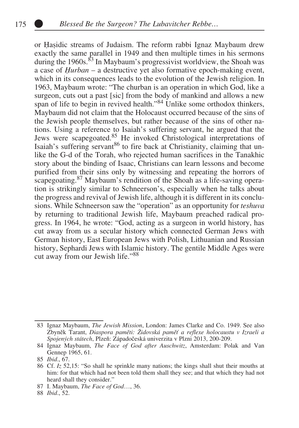or Ḥaṣidic streams of Judaism. The reform rabbi Ignaz Maybaum drew exactly the same parallel in 1949 and then multiple times in his sermons during the 1960s. $^{83}$  In Maybaum's progressivist worldview, the Shoah was a case of *Ḥurban* – a destructive yet also formative epoch-making event, which in its consequences leads to the evolution of the Jewish religion. In 1963, Maybaum wrote: "The churban is an operation in which God, like a surgeon, cuts out a past [sic] from the body of mankind and allows a new span of life to begin in revived health."<sup>84</sup> Unlike some orthodox thinkers, Maybaum did not claim that the Holocaust occurred because of the sins of the Jewish people themselves, but rather because of the sins of other nations. Using a reference to Isaiah's suffering servant, he argued that the Jews were scapegoated.85 He invoked Christological interpretations of Isaiah's suffering servant<sup>86</sup> to fire back at Christianity, claiming that unlike the G-d of the Torah, who rejected human sacrifices in the Tanakhic story about the binding of Isaac, Christians can learn lessons and become purified from their sins only by witnessing and repeating the horrors of scapegoating.<sup>87</sup> Maybaum's rendition of the Shoah as a life-saving operation is strikingly similar to Schneerson's, especially when he talks about the progress and revival of Jewish life, although it is different in its conclusions. While Schneerson saw the "operation" as an opportunity for *teshuva* by returning to traditional Jewish life, Maybaum preached radical progress. In 1964, he wrote: "God, acting as a surgeon in world history, has cut away from us a secular history which connected German Jews with German history, East European Jews with Polish, Lithuanian and Russian history, Sephardi Jews with Islamic history. The gentile Middle Ages were cut away from our Jewish life."88

87 I. Maybaum, *The Face of God*…, 36.

88 *Ibid*., 52.

<sup>83</sup> Ignaz Maybaum, *The Jewish Mission*, London: James Clarke and Co. 1949. See also Zbyněk Tarant, *Diaspora paměti: Židovská paměť a reflexe holocaustu v Izraeli a Spojených státech*, Plzeň: Západočeská univerzita v Plzni 2013, 200-209.

<sup>84</sup> Ignaz Maybaum, *The Face of God after Auschwitz*, Amsterdam: Polak and Van Gennep 1965, 61.

<sup>85</sup> *Ibid*., 67.

<sup>86</sup> Cf. *Iz* 52,15: "So shall he sprinkle many nations; the kings shall shut their mouths at him: for that which had not been told them shall they see; and that which they had not heard shall they consider."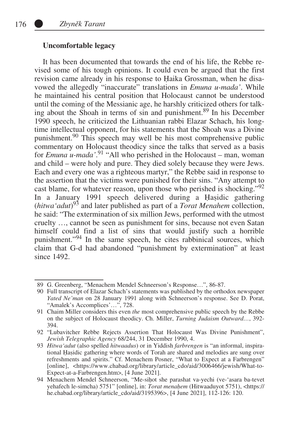## **Uncomfortable legacy**

It has been documented that towards the end of his life, the Rebbe revised some of his tough opinions. It could even be argued that the first revision came already in his response to Ḥaika Grossman, when he disavowed the allegedly "inaccurate" translations in *Emuna u-mada'*. While he maintained his central position that Holocaust cannot be understood until the coming of the Messianic age, he harshly criticized others for talking about the Shoah in terms of sin and punishment.<sup>89</sup> In his December 1990 speech, he criticized the Lithuanian rabbi Elazar Schach, his longtime intellectual opponent, for his statements that the Shoah was a Divine punishment.90 This speech may well be his most comprehensive public commentary on Holocaust theodicy since the talks that served as a basis for *Emuna u-mada'*. 91 "All who perished in the Holocaust – man, woman and child – were holy and pure. They died solely because they were Jews. Each and every one was a righteous martyr," the Rebbe said in response to the assertion that the victims were punished for their sins. "Any attempt to cast blame, for whatever reason, upon those who perished is shocking."<sup>92</sup> In a January 1991 speech delivered during a Ḥaṣidic gathering (*hitwa'adut*) 93 and later published as part of a *Torat Menahem* collection, he said: "The extermination of six million Jews, performed with the utmost cruelty …, cannot be seen as punishment for sins, because not even Satan himself could find a list of sins that would justify such a horrible punishment."94 In the same speech, he cites rabbinical sources, which claim that G-d had abandoned "punishment by extermination" at least since 1492.

<sup>89</sup> G. Greenberg, "Menachem Mendel Schneerson's Response…", 86-87.

<sup>90</sup> Full transcript of Elazar Schach's statements was published by the orthodox newspaper *Yated Ne'man* on 28 January 1991 along with Schneerson's response. See D. Porat, "Amalek's Accomplices'...", 728.

<sup>91</sup> Chaim Miller considers this even *the* most comprehensive public speech by the Rebbe on the subject of Holocaust theodicy. Ch. Miller, *Turning Judaism Outward…*, 392- 394.

<sup>92</sup> "Lubavitcher Rebbe Rejects Assertion That Holocaust Was Divine Punishment", *Jewish Telegraphic Agency* 68/244, 31 December 1990, 4.

<sup>93</sup> *Hitwa'adut* (also spelled *hitwaadus*) or in Yiddish *farbrengen* is "an informal, inspirational Ḥaṣidic gathering where words of Torah are shared and melodies are sung over refreshments and spirits." Cf. Menachem Posner, "What to Expect at a Farbrengen" [online], <https://www.chabad.org/library/article\_cdo/aid/3006466/jewish/What-to-Expect-at-a-Farbrengen.htm>, [4 June 2021].

<sup>94</sup> Menachem Mendel Schneerson, "Me-siḥot she parashat va-yechi (ve-'asara ba-tevet yehafech le-simcha) 5751" [online], in: *Torat menaḥem* (Hitwaaduyot 5751), <https:// he.chabad.org/library/article\_cdo/aid/3195396>, [4 June 2021], 112-126: 120.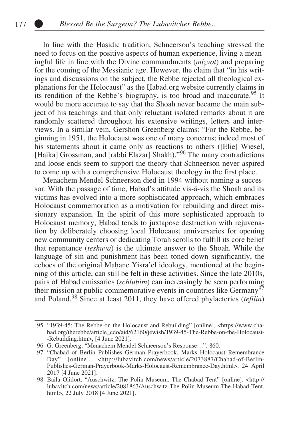In line with the Ḥaṣidic tradition, Schneerson's teaching stressed the need to focus on the positive aspects of human experience, living a meaningful life in line with the Divine commandments (*miẓvot*) and preparing for the coming of the Messianic age. However, the claim that "in his writings and discussions on the subject, the Rebbe rejected all theological explanations for the Holocaust" as the Ḥabad.org website currently claims in its rendition of the Rebbe's biography, is too broad and inaccurate.95 It would be more accurate to say that the Shoah never became the main subject of his teachings and that only reluctant isolated remarks about it are randomly scattered throughout his extensive writings, letters and interviews. In a similar vein, Gershon Greenberg claims: "For the Rebbe, beginning in 1951, the Holocaust was one of many concerns; indeed most of his statements about it came only as reactions to others ([Elie] Wiesel, [Haika] Grossman, and [rabbi Elazar] Shakh)."<sup>96</sup> The many contradictions and loose ends seem to support the theory that Schneerson never aspired to come up with a comprehensive Holocaust theology in the first place.

Menachem Mendel Schneerson died in 1994 without naming a successor. With the passage of time, Ḥabad's attitude vis-á-vis the Shoah and its victims has evolved into a more sophisticated approach, which embraces Holocaust commemoration as a motivation for rebuilding and direct missionary expansion. In the spirit of this more sophisticated approach to Holocaust memory, Ḥabad tends to juxtapose destruction with rejuvenation by deliberately choosing local Holocaust anniversaries for opening new community centers or dedicating Torah scrolls to fulfill its core belief that repentance (*teshuva*) is the ultimate answer to the Shoah. While the language of sin and punishment has been toned down significantly, the echoes of the original Mahane Yisra'el ideology, mentioned at the beginning of this article, can still be felt in these activities. Since the late 2010s, pairs of Ḥabad emissaries (*schluḥim*) can increasingly be seen performing their mission at public commemorative events in countries like  $\overline{\text{Germany}}^{\text{97}}$ and Poland.98 Since at least 2011, they have offered phylacteries (*tefilin*)

<sup>95</sup> "1939-45: The Rebbe on the Holocaust and Rebuilding" [online], <https://www.chabad.org/therebbe/article\_cdo/aid/62160/jewish/1939-45-The-Rebbe-on-the-Holocaust- -Rebuilding.htm>, [4 June 2021].

<sup>96</sup> G. Greenberg, "Menachem Mendel Schneerson's Response…", 860.

<sup>97</sup> "Chabad of Berlin Publishes German Prayerbook, Marks Holocaust Remembrance Day" [online], <http://lubavitch.com/news/article/2073887/Chabad-of-Berlin-Publishes-German-Prayerbook-Marks-Holocaust-Remembrance-Day.html>, 24 April 2017 [4 June 2021].

<sup>98</sup> Baila Olidort, "Auschwitz, The Polin Museum, The Chabad Tent" [online], <http:// lubavitch.com/news/article/2081863/Auschwitz-The-Polin-Museum-The-Ḥabad-Tent. html>, 22 July 2018 [4 June 2021].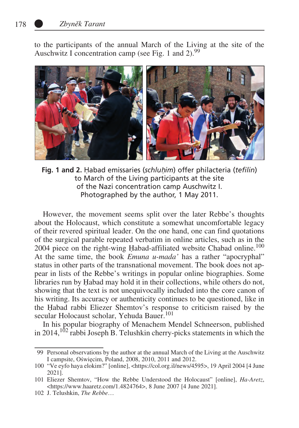to the participants of the annual March of the Living at the site of the Auschwitz I concentration camp (see Fig. 1 and 2). $99$ 



**Fig. 1 and 2.** Habad emissaries (*schluhim*) offer philacteria (*tefilin*) to March of the Living participants at the site of the Nazi concentration camp Auschwitz I. Photographed by the author, 1 May 2011.

However, the movement seems split over the later Rebbe's thoughts about the Holocaust, which constitute a somewhat uncomfortable legacy of their revered spiritual leader. On the one hand, one can find quotations of the surgical parable repeated verbatim in online articles, such as in the 2004 piece on the right-wing Habad-affiliated website Chabad online.<sup>100</sup> At the same time, the book *Emuna u-mada'* has a rather "apocryphal" status in other parts of the transnational movement. The book does not appear in lists of the Rebbe's writings in popular online biographies. Some libraries run by Ḥabad may hold it in their collections, while others do not, showing that the text is not unequivocally included into the core canon of his writing. Its accuracy or authenticity continues to be questioned, like in the Ḥabad rabbi Eliezer Shemtov's response to criticism raised by the secular Holocaust scholar, Yehuda Bauer.<sup>101</sup>

In his popular biography of Menachem Mendel Schneerson, published in 2014,  $102$  rabbi Joseph B. Telushkin cherry-picks statements in which the

<sup>99</sup> Personal observations by the author at the annual March of the Living at the Auschwitz I campsite, Oświęcim, Poland, 2008, 2010, 2011 and 2012.

<sup>100</sup> "Ve eyfo haya elokim?" [online], <https://col.org.il/news/4595>, 19 April 2004 [4 June 2021].

<sup>101</sup> Eliezer Shemtov, "How the Rebbe Understood the Holocaust" [online], *Ha-Aretz*, <https://www.haaretz.com/1.4824764>, 8 June 2007 [4 June 2021].

<sup>102</sup> J. Telushkin, *The Rebbe*…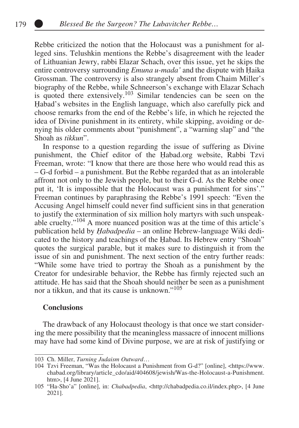Rebbe criticized the notion that the Holocaust was a punishment for alleged sins. Telushkin mentions the Rebbe's disagreement with the leader of Lithuanian Jewry, rabbi Elazar Schach, over this issue, yet he skips the entire controversy surrounding *Emuna u-mada'* and the dispute with Ḥaika Grossman. The controversy is also strangely absent from Chaim Miller's biography of the Rebbe, while Schneerson's exchange with Elazar Schach is quoted there extensively.<sup>103</sup> Similar tendencies can be seen on the Ḥabad's websites in the English language, which also carefully pick and choose remarks from the end of the Rebbe's life, in which he rejected the idea of Divine punishment in its entirety, while skipping, avoiding or denying his older comments about "punishment", a "warning slap" and "the Shoah as *tikkun*".

In response to a question regarding the issue of suffering as Divine punishment, the Chief editor of the Ḥabad.org website, Rabbi Tzvi Freeman, wrote: "I know that there are those here who would read this as – G-d forbid – a punishment. But the Rebbe regarded that as an intolerable affront not only to the Jewish people, but to their G-d. As the Rebbe once put it, 'It is impossible that the Holocaust was a punishment for sins'." Freeman continues by paraphrasing the Rebbe's 1991 speech: "Even the Accusing Angel himself could never find sufficient sins in that generation to justify the extermination of six million holy martyrs with such unspeakable cruelty."104 A more nuanced position was at the time of this article's publication held by *Ḥabadpedia* – an online Hebrew-language Wiki dedicated to the history and teachings of the Ḥabad. Its Hebrew entry "Shoah" quotes the surgical parable, but it makes sure to distinguish it from the issue of sin and punishment. The next section of the entry further reads: "While some have tried to portray the Shoah as a punishment by the Creator for undesirable behavior, the Rebbe has firmly rejected such an attitude. He has said that the Shoah should neither be seen as a punishment nor a tikkun, and that its cause is unknown."<sup>105</sup>

#### **Conclusions**

The drawback of any Holocaust theology is that once we start considering the mere possibility that the meaningless massacre of innocent millions may have had some kind of Divine purpose, we are at risk of justifying or

<sup>103</sup> Ch. Miller, *Turning Judaism Outward*…

<sup>104</sup> Tzvi Freeman, "Was the Holocaust a Punishment from G-d?" [online], <https://www. chabad.org/library/article\_cdo/aid/404608/jewish/Was-the-Holocaust-a-Punishment. htm>, [4 June 2021].

<sup>105</sup> "Ha-Sho'a" [online], in: *Chabadpedia*, <http://chabadpedia.co.il/index.php>, [4 June 2021].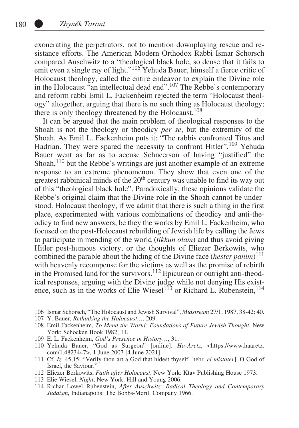exonerating the perpetrators, not to mention downplaying rescue and resistance efforts. The American Modern Orthodox Rabbi Ismar Schorsch compared Auschwitz to a "theological black hole, so dense that it fails to emit even a single ray of light."<sup>106</sup> Yehuda Bauer, himself a fierce critic of Holocaust theology, called the entire endeavor to explain the Divine role in the Holocaust "an intellectual dead end".107 The Rebbe's contemporary and reform rabbi Emil L. Fackenheim rejected the term "Holocaust theology" altogether, arguing that there is no such thing as Holocaust theology; there is only theology threatened by the Holocaust.<sup>108</sup>

It can be argued that the main problem of theological responses to the Shoah is not the theology or theodicy *per se*, but the extremity of the Shoah. As Emil L. Fackenheim puts it: "The rabbis confronted Titus and Hadrian. They were spared the necessity to confront Hitler".<sup>109</sup> Yehuda Bauer went as far as to accuse Schneerson of having "justified" the Shoah, $110$  but the Rebbe's writings are just another example of an extreme response to an extreme phenomenon. They show that even one of the greatest rabbinical minds of the 20<sup>th</sup> century was unable to find its way out of this "theological black hole". Paradoxically, these opinions validate the Rebbe's original claim that the Divine role in the Shoah cannot be understood. Holocaust theology, if we admit that there is such a thing in the first place, experimented with various combinations of theodicy and anti-theodicy to find new answers, be they the works by Emil L. Fackenheim, who focused on the post-Holocaust rebuilding of Jewish life by calling the Jews to participate in mending of the world (*tikkun olam*) and thus avoid giving Hitler post-humous victory, or the thoughts of Eliezer Berkowits, who combined the parable about the hiding of the Divine face (*hester panim*) 111 with heavenly recompense for the victims as well as the promise of rebirth in the Promised land for the survivors.<sup>112</sup> Epicurean or outright anti-theodical responses, arguing with the Divine judge while not denying His existence, such as in the works of Elie Wiesel<sup>113</sup> or Richard L. Rubenstein,  $^{114}$ 

<sup>106</sup> Ismar Schorsch, "The Holocaust and Jewish Survival", *Midstream* 27/1, 1987, 38-42: 40.

<sup>107</sup> Y. Bauer, *Rethinking the Holocaust…*, 209.

<sup>108</sup> Emil Fackenheim, *To Mend the World: Foundations of Future Jewish Thought*, New York: Schocken Book 1982, 11.

<sup>109</sup> E. L. Fackenheim, *God's Presence in History…*, 31.

<sup>110</sup> Yehuda Bauer, "God as Surgeon" [online], *Ha-Aretz*, <https://www.haaretz. com/1.4823447>, 1 June 2007 [4 June 2021].

<sup>111</sup> Cf. *Iz*. 45,15: "Verily thou art a God that hidest thyself [hebr. *el mistater*], O God of Israel, the Saviour."

<sup>112</sup> Eliezer Berkowits, *Faith after Holocaust*, New York: Ktav Publishing House 1973.

<sup>113</sup> Elie Wiesel, *Night*, New York: Hill and Young 2006.

<sup>114</sup> Richar Lowel Rubenstein, *After Auschwitz: Radical Theology and Contemporary Judaism*, Indianapolis: The Bobbs-Merill Company 1966.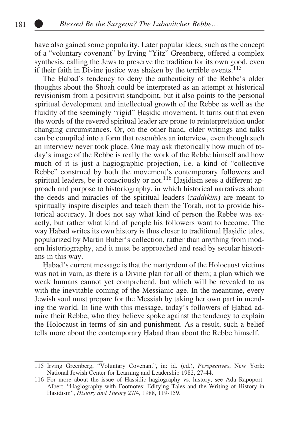have also gained some popularity. Later popular ideas, such as the concept of a "voluntary covenant" by Irving "Yitz" Greenberg, offered a complex synthesis, calling the Jews to preserve the tradition for its own good, even if their faith in Divine justice was shaken by the terrible events.<sup>115</sup>

The Habad's tendency to deny the authenticity of the Rebbe's older thoughts about the Shoah could be interpreted as an attempt at historical revisionism from a positivist standpoint, but it also points to the personal spiritual development and intellectual growth of the Rebbe as well as the fluidity of the seemingly "rigid" Hasidic movement. It turns out that even the words of the revered spiritual leader are prone to reinterpretation under changing circumstances. Or, on the other hand, older writings and talks can be compiled into a form that resembles an interview, even though such an interview never took place. One may ask rhetorically how much of today's image of the Rebbe is really the work of the Rebbe himself and how much of it is just a hagiographic projection, i.e. a kind of "collective Rebbe" construed by both the movement's contemporary followers and spiritual leaders, be it consciously or not.<sup>116</sup> Hasidism sees a different approach and purpose to historiography, in which historical narratives about the deeds and miracles of the spiritual leaders (*ẓaddikim*) are meant to spiritually inspire disciples and teach them the Torah, not to provide historical accuracy. It does not say what kind of person the Rebbe was exactly, but rather what kind of people his followers want to become. The way Habad writes its own history is thus closer to traditional Hasidic tales, popularized by Martin Buber's collection, rather than anything from modern historiography, and it must be approached and read by secular historians in this way.

Ḥabad's current message is that the martyrdom of the Holocaust victims was not in vain, as there is a Divine plan for all of them; a plan which we weak humans cannot yet comprehend, but which will be revealed to us with the inevitable coming of the Messianic age. In the meantime, every Jewish soul must prepare for the Messiah by taking her own part in mending the world. In line with this message, today's followers of Ḥabad admire their Rebbe, who they believe spoke against the tendency to explain the Holocaust in terms of sin and punishment. As a result, such a belief tells more about the contemporary Ḥabad than about the Rebbe himself.

<sup>115</sup> Irving Greenberg, "Voluntary Covenant", in: id. (ed.), *Perspectives*, New York: National Jewish Center for Learning and Leadership 1982, 27-44.

<sup>116</sup> For more about the issue of Ḥassidic hagiography vs. history, see Ada Rapoport-Albert, "Hagiography with Footnotes: Edifying Tales and the Writing of History in Hasidism", *History and Theory* 27/4, 1988, 119-159.